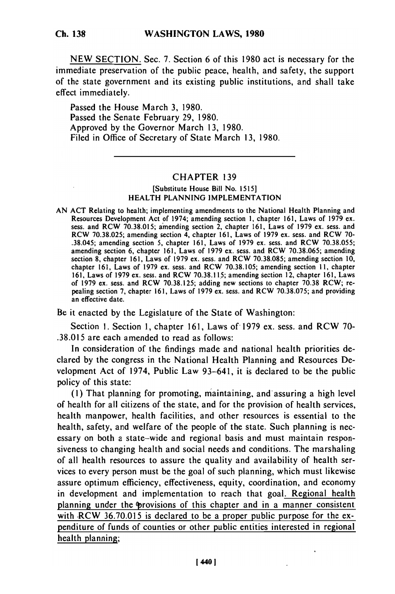NEW SECTION. Sec. 7. Section 6 of this 1980 act is necessary for the immediate preservation of the public peace, health, and safety, the support of the state government and its existing public institutions, and shall take effect immediately.

Passed the House March 3, 1980. Passed the Senate February 29, 1980. Approved by the Governor March 13, 1980. Filed in Office of Secretary of State March 13, 1980.

## CHAPTER 139

## [Substitute House Bill No. 1515] HEALTH PLANNING IMPLEMENTATION

AN ACT Relating to health; implementing amendments to the National Health Planning and Resources Development Act of 1974; amending section 1, chapter 161, Laws of 1979 ex. Resources Development Act of 1974; amending section 1, chapter 161, Laws of 1979 ex.<br>sess. and RCW 70.38.015; amending section 2, chapter 161, Laws of 1979 ex. sess. and RCW 70.38.025; amending section 4, chapter 161, Laws of 1979 ex. sess. and RCW 70- .38.045; amending section 5, chapter 161, Laws of 1979 ex. sess. and RCW 70.38.055; amending section 6, chapter 161, Laws of 1979 ex. sess. and RCW 70.38.065; amending section 8, chapter 161, Laws of 1979 ex. sess. and RCW 70.38.085; amending section 10, chapter 161, Laws of 1979 ex. sess. and RCW 70.38.105; amending section **11,** chapter 161, Laws of 1979 ex. sess. and RCW 70.38.115; amending section 12, chapter 161, Laws of 1979 ex. sess. and RCW 70.38.125; adding new sections to chapter 70.38 RCW; repealing section 7, chapter 161, Laws of 1979 ex. sess. and RCW 70.38.075; and providing an effective date.

Be it enacted by the Legislature of the State of Washington:

Section **1.** Section 1, chapter 161, Laws of 1979 ex. sess. and RCW 70- .38.015 are each amended to read as follows:

In consideration of the findings made and national health priorities declared by the congress in the National Health Planning and Resources Development Act of 1974, Public Law 93-641, it is declared to be the public policy of this state:

**(1)** That planning for promoting, maintaining, and'assuring a high level of health for all citizens of the state, and for the provision of health services, health manpower, health facilities, and other resources is essential to the health, safety, and welfare of the people of the state. Such planning is necessary on both a state-wide and regional basis and must maintain responsiveness to changing health and social needs and conditions. The marshaling of all health resources to assure the quality and availability of health services to every person must be the goal of such planning, which must likewise assure optimum efficiency, effectiveness, equity, coordination, and economy in development and implementation to reach that goal. Regional health planning under the provisions of this chapter and in a manner consistent with  $RCW$  36.70.015 is declared to be a proper public purpose for the expenditure of funds of counties or other public entities interested in regional health planning;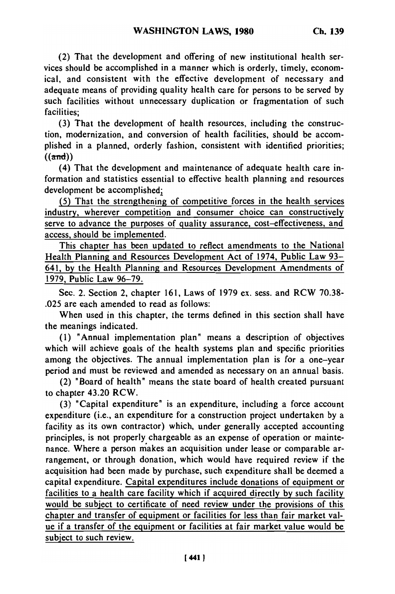(2) That the development and offering of new institutional health services should be accomplished in a manner which is orderly, timely, economical, and consistent with the effective development of necessary and adequate means of providing quality health care for persons to be served by such facilities without unnecessary duplication or fragmentation of such facilities;

(3) That the development of health resources, including the construction, modernization, and conversion of health facilities, should be accomplished in a planned, orderly fashion, consistent with identified priorities;  $((and))$ 

(4) That the development and maintenance of adequate health care information and statistics essential to effective health planning and resources development be accomplished;

**(5)** That the strengthening of competitive forces in the health services industry, wherever competition and consumer choice can constructively serve to advance the purposes of quality assurance, cost-effectiveness, and access, should be implemented.

This chapter has been updated to reflect amendments to the National Health Planning and Resources Development Act of 1974, Public Law **93-** 641, **by** the Health Planning and Resources Development Amendments of **1979,** Public Law **96-79.**

Sec. 2. Section 2, chapter **161,** Laws of **1979** ex. sess. and RCW **70.38- .025** are each amended to read as follows:

When used in this chapter, the terms defined in this section shall have the meanings indicated.

**(1)** "Annual implementation plan" means a description of objectives which will achieve goals of the health systems plan and specific priorities among the objectives. The annual implementation plan is for a one-year period and must be reviewed and amended as necessary on an annual basis.

(2) "Board of health" means the state board of health created pursuant to chapter 43.20 RCW.

**(3)** "Capital expenditure" is an expenditure, including a force account expenditure (i.e., an expenditure for a construction project undertaken **by** a facility as its own contractor) which, under generally accepted accounting principles, is not properly chargeable as an expense of operation or maintenance. Where a person makes an acquisition under lease or comparable arrangement, or through donation, which would have required review if the acquisition had been made **by** purchase, such expenditure shall be deemed a capital expenditure. Capital expenditures include donations of equipment or facilities to a health care facility which if acquired directly **by** such facility would be subject to certificate of need review under the provisions of this chapter and transfer of equipment or facilities for less than fair market value if a transfer of the equipment or facilities at fair market value would be subject to such review.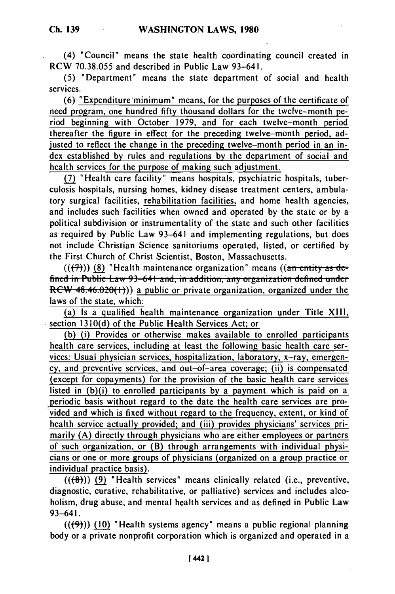(4) "Council" means the state health coordinating council created in RCW 70.38.055 and described in Public Law 93-641.

(5) "Department" means the state department of social and health services.

(6) "Expenditure minimum" means, for the purposes of the certificate of need program, one hundred fifty thousand dollars for the twelve-month period beginning with October 1979, and for each twelve-month period thereafter the figure in effect for the preceding twelve-month period, adjusted to reflect the change in the preceding twelve-month period in an index established by rules and regulations by the department of social and health services for the purpose of making such adjustment.

**(7)** "Health care facility" means hospitals, psychiatric hospitals, tuberculosis hospitals, nursing homes, kidney disease treatment centers, ambulatory surgical facilities, rehabilitation facilities, and home health agencies, and includes such facilities when owned and operated by the state or by a political subdivision or instrumentality of the state and such other facilities as required by Public Law 93-641 and implementing regulations, but does not include Christian Science sanitoriums operated, listed, or certified by the First Church of Christ Scientist, Boston, Massachusetts.

 $((\overline{(7)}))$  (8) "Health maintenance organization" means  $((\overline{ar\text{ entity as de}})$ fined in Public Law 93-641 and, in addition, any organization defined under  $RCW$  48.46.020(1))) a public or private organization, organized under the laws of the state, which:

(a) Is a qualified health maintenance organization under Title XIIi, section 1310(d) of the Public Health Services Act; or

(b) (i) Provides or otherwise makes available to enrolled participants health care services, including at least the following basic health care services: Usual physician services, hospitalization, laboratory, x-ray, emergency, and preventive services, and out-of-area coverage; (ii) is compensated (except for copayments) for the provision of the basic health care services listed in (b)(i) to enrolled participants by a payment which is paid on a periodic basis without regard to the date the health care services are provided and which is fixed without regard to the frequency, extent, or kind of health service actually provided; and (iii) provides physicians' services primarily (A) directly through physicians who are either employees or partners of such organization, or (B) through arrangements with individual physicians or one or more groups of physicians (organized on a group practice or individual practice basis).

((W)) **(9)** "Health services" means clinically related (i.e., preventive, diagnostic, curative, rehabilitative, or palliative) services and includes alcoholism, drug abuse, and mental health services and as defined in Public Law 93-641.

 $((\left\langle 9\right\rangle))$  (10) "Health systems agency" means a public regional planning body or a private nonprofit corporation which is organized and operated in a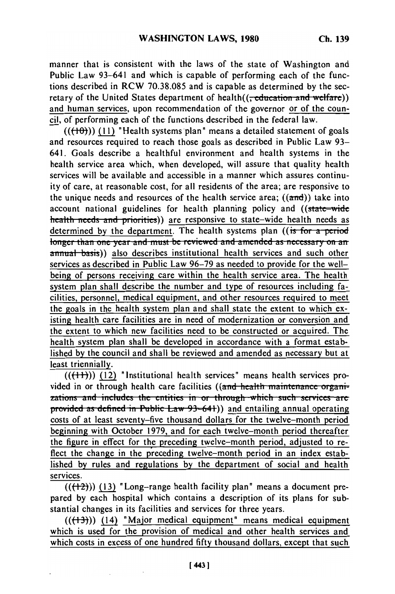manner that is consistent with the laws of the state of Washington and Public Law 93-641 and which is capable of performing each of the functions described in RCW 70.38.085 and is capable as determined by the secretary of the United States department of health((<del>, education and welfare</del>)) and human services, upon recommendation of the governor or of the council, of performing each of the functions described in the federal law.

 $((+10))$  (11) "Health systems plan" means a detailed statement of goals and resources required to reach those goals as described in Public Law 93- 641. Goals describe a healthful environment and health systems in the health service area which, when developed, will assure that quality health services will be available and accessible in a manner which assures continuity of care, at reasonable cost, for all residents of the area; are responsive to the unique needs and resources of the health service area;  $((\text{and}))$  take into account national guidelines for health planning policy and ((state-wide health needs and priorities)) are responsive to state-wide health needs as determined by the department. The health systems plan ((is *for* a period longer than one year and must be reviewed and amended as necessary on an annual basis)) also describes institutional health services and such other services as described in Public Law 96-79 as needed to provide for the wellbeing of persons receiving care within the health service area. The health system plan shall describe the number and type of resources including facilities, personnel, medical equipment, and other resources required to meet the goals in the health system plan and shall state the extent to which existing health care facilities are in need of modernization or conversion and the extent to which new facilities need to be constructed or acquired. The health system plan shall be developed in accordance with a format established by the council and shall be reviewed and amended as necessary but at least triennially.

(((+(+))) (12) "Institutional health services" means health services pro-<br>vided in an through health care facilities ((and health maintenance against vided in or through health care facilities ((and health maintenance organizations and includes the entities in or through which such services are provided as defined in Public Law 93-641)) and entailing annual operating costs of at least seventy-five thousand dollars for the twelve-month period beginning with October 1979, and for each twelve-month period thereafter the figure in effect for the preceding twelve-month period, adjusted to reflect the change in the preceding twelve-month period in an index established by rules and regulations by the department of social and health services.

 $((+2))$  (13) "Long-range health facility plan" means a document prepared by each hospital which contains a description of its plans for substantial changes in its facilities and services for three years.

 $((+3))$  (14) "Major medical equipment" means medical equipment which is used for the provision of medical and other health services and which costs in excess of one hundred fifty thousand dollars, except that such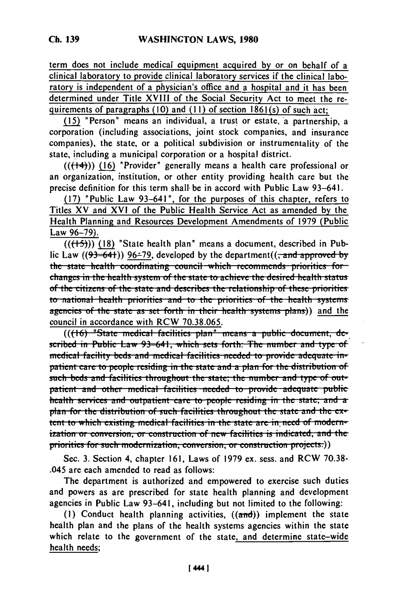term does not include medical equipment acquired by or on behalf of a clinical laboratory to provide clinical laboratory services if the clinical laboratory is independent of a physician's office and a hospital and it has been determined under Title XVIII of the Social Security Act to meet the requirements of paragraphs (10) and (11) of section 1861(s) of such act;

(15) "Person" means an individual, a trust or estate, a partnership, a corporation (including associations, joint stock companies, and insurance companies), the state, or a political subdivision or instrumentality of the state, including a municipal corporation or a hospital district.

 $((+4))$  (16) "Provider" generally means a health care professional or an organization, institution, or other entity providing health care but the precise definition for this term shall be in accord with Public Law 93-641.

(17) "Public Law 93-641", for the purposes of this chapter, refers to Titles XV and XVI of the Public Health Service Act as amended by the Health Planning and Resources Development Amendments of 1979 (Public Law 96-79).

 $((\overbrace{(+5)}))$  (18) "State health plan" means a document, described in Public Law ( $(93-64)$ ) 96-79, developed by the department( $\left(\frac{1}{2} \text{ and approved by}\right)$ the state health coordinating council which recommends priorities for changes in the health system of the state to achieve the desired health status of the citizens of the state and describes the relationship of these priorities to national health priorities and to the priorities of the health systems agencies of the state as set forth in their health systems plans)) and the council in accordance with RCW 70.38.065.

 $(((16)$  "State medical facilities plan" means a public document, described in Public Law 93-641, which sets forth: The number and type of medical facility beds and medical facilities needed to provide adequate inpatient care to people residing in the state and a plan for the distribution of such beds and facilities throughout the state; the number and type of outpatient and other medical facilities needed to provide adequate public health services and outpatient care to people residing in the state; and a plan for the distribution of such facilities throughout the state and the extent to which existing medical facilities in the state are in need of modernization or conversion, or construction of new facilities is indicated, and the priorities for such modernization, conversion, or construction projects.))

Sec. 3. Section 4, chapter 161, Laws of 1979 ex. sess. and RCW 70.38-.045 are each amended to read as follows:

The department is authorized and empowered to exercise such duties and powers as are prescribed for state health planning and development agencies in Public Law 93-641, including but not limited to the following:

(1) Conduct health planning activities,  $((\text{and}))$  implement the state health plan and the plans of the health systems agencies within the state which relate to the government of the state, and determine state-wide health needs;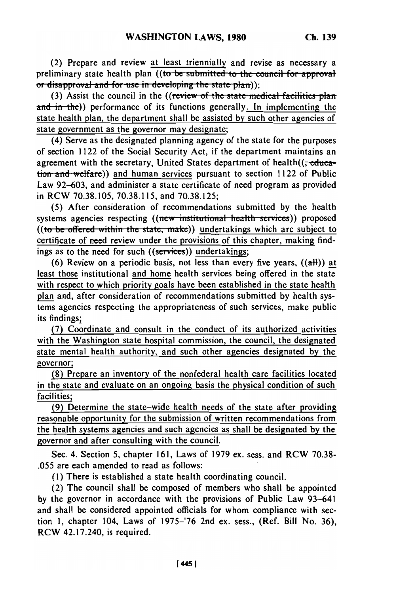(2) Prepare and review at least triennially and revise as necessary a preliminary state health plan ((to be submitted to the council for approval or disapproval and for use in developing the state plan));

(3) Assist the council in the ((review of the state medical facilities plan and in the)) performance of its functions generally. In implementing the state health plan, the department shall be assisted **by** such other agencies of state government as the governor may designate;

(4) Serve as the designated planning agency of the state for the purposes of section 1122 of the Social Security Act, if the department maintains an agreement with the secretary, United States department of health $((\text{-educa-})$ tion and welfare)) and human services pursuant to section 1122 of Public Law 92-603, and administer a state certificate of need program as provided in RCW 70.38.105, 70.38.115, and 70.38.125;

(5) After consideration of recommendations submitted by the health systems agencies respecting ((new institutional health services)) proposed ((to be offered within the state, make)) undertakings which are subject to certificate of need review under the provisions of this chapter, making findings as to the need for such ((services)) undertakings;

(6) Review on a periodic basis, not less than every five years,  $((aH))$  at least those institutional and home health services being offered in the state with respect to which priority goals have been established in the state health plan and, after consideration of recommendations submitted by health systems agencies respecting the appropriateness of such services, make public its findings;

**(7)** Coordinate and consult in the conduct of its authorized activities with the Washington state hospital commission, the council, the designated state mental health authority, and such other agencies designated **by** the governor;

(8) Prepare an inventory of the nonfederal health care facilities located in the state and evaluate on an ongoing basis the physical condition of such facilities;

(9) Determine the state-wide health needs of the state after providing reasonable opportunity for the submission of written recommendations from the health systems agencies and such agencies as shall be designated **by** the governor and after consulting with the council.

Sec. 4. Section 5, chapter 161, Laws of 1979 ex. sess. and RCW 70.38- .055 are each amended to read as follows:

(I) There is established a state health coordinating council.

(2) The council shall be composed of members who shall be appointed by the governor in accordance with the provisions of Public Law 93-641 and shall be considered appointed officials for whom compliance with section **1,** chapter 104, Laws of 1975-'76 2nd ex. sess., (Ref. Bill No. 36), RCW 42.17.240, is required.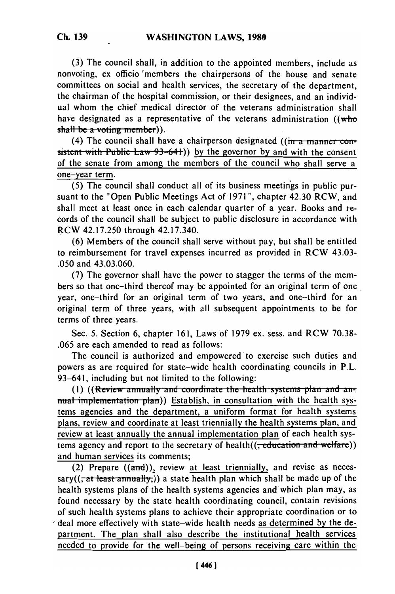**(3)** The council shall, in addition to the appointed members, include as nonvoting, ex officio 'members the chairpersons of the house and senate committees on social and health services, the secretary of the department, the chairman of the hospital commission, or their designees, and an individual whom the chief medical director of the veterans administration shall have designated as a representative of the veterans administration ((who shall be a voting member)).

(4) The council shall have a chairperson designated ( $(m - a)$  manner con $s$  istent with Public Law  $93-64$ ) by the governor by and with the consent of the senate from among the members of the council who shall serve a one-year term.

(5) The council shall conduct all of its business meetings in public pursuant to the "Open Public Meetings Act of 1971 ", chapter 42.30 RCW, and shall meet at least once in each calendar quarter of a year. Books and records of the council shall be subject to public disclosure in accordance with RCW 42.17.250 through 42.17.340.

(6) Members of the council shall serve without pay, but shall be entitled to reimbursement for travel expenses incurred as provided in RCW 43.03- .050 and 43.03.060.

(7) The governor shall have the power to stagger the terms of the members so that one-third thereof may be appointed for an original term of one year, one-third for an original term of two years, and one-third for an original term of three years, with all subsequent appointments to be for terms of three years.

Sec. **5.** Section 6, chapter 161, Laws of 1979 ex. sess. and RCW 70.38- .065 are each amended to read as follows:

The council is authorized and empowered to exercise such duties and powers as are required for state-wide health coordinating councils in P.L. 93-641, including but not limited to the following:

(1) ((Review annually and coordinate the health systems plan and annual implementation plan)) Establish, in consultation with the health systems agencies and the department, a uniform format for health systems plans, review and coordinate at least triennially the health systems plan, and review at least annually the annual implementation plan of each health systems agency and report to the secretary of health(( $\frac{1}{\sqrt{1-\frac{1}{\sqrt{1-\frac{1}{\sqrt{1-\frac{1}{\sqrt{1-\frac{1}{\sqrt{1-\frac{1}{\sqrt{1-\frac{1}{\sqrt{1-\frac{1}{\sqrt{1-\frac{1}{\sqrt{1-\frac{1}{\sqrt{1-\frac{1}{\sqrt{1-\frac{1}{\sqrt{1-\frac{1}{\sqrt{1-\frac{1}{\sqrt{1-\frac{1}{\sqrt{1-\frac{1}{\sqrt{1-\frac{1}{\sqrt{1-\frac{1}{\sqrt{1-\frac{1}{\sqrt{$ and human services its comments;

(2) Prepare  $((\text{and}))$ , review at least triennially, and revise as necessary( $(\overline{\phantom{a}}\right.$  at least annually,)) a state health plan which shall be made up of the health systems plans of the health systems agencies and which plan may, as found necessary by the state health coordinating council, contain revisions of such health systems plans to achieve their appropriate coordination or to deal more effectively with state-wide health needs as determined **by** the department. The plan shall also describe the institutional health services needed to provide for the well-being of persons receiving care within the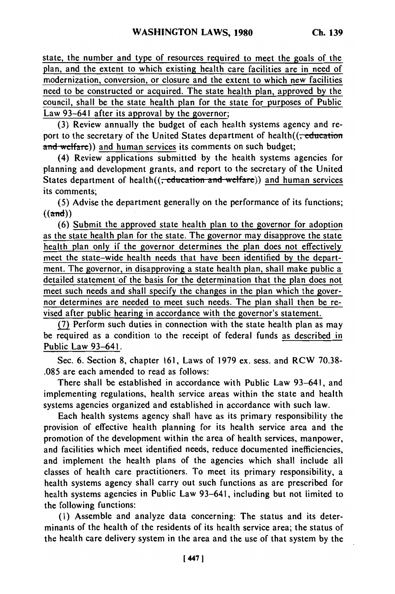state, the number and type of resources required to meet the goals of the plan, and the extent to which existing health care facilities are in need of modernization, conversion, or closure and the extent to which new facilities need to be constructed or acquired. The state health plan, approved by the council, shall be the state health plan for the state for purposes of Public Law 93-641 after its approval by the governor;

(3) Review annually the budget of each health systems agency and report to the secretary of the United States department of health $((\text{reluction})$ and welfare)) and human services its comments on such budget;

(4) Review applications submitted by the health systems agencies for planning and development grants, and report to the secretary of the United States department of health((<del>, education and welfare</del>)) and human services its comments;

(5) Advise the department generally on the performance of its functions;  $((\text{and}))$ 

**(6)** Submit the approved state health plan to the governor for adoption as the state health plan for the state. The governor may disapprove the state health plan only if the governor determines the plan does not effectively meet the state-wide health needs that have been identified by the department. The governor, in disapproving a state health plan, shall make public a detailed statement of the basis for the determination that the plan does not meet such needs and shall specify the changes in the plan which the governor determines are needed to meet such needs. The plan shall then be revised after public hearing in accordance with the governor's statement.

**(7)** Perform such duties in connection with the state health plan as may be required as a condition to the receipt of federal funds as described in Public Law 93-641.

Sec. 6. Section 8, chapter 161, Laws of 1979 ex. sess. and RCW 70.38- .085 are each amended to read as follows:

There shall be established in accordance with Public Law 93-641, and implementing regulations, health service areas within the state and health systems agencies organized and established in accordance with such law.

Each health systems agency shall have as its primary responsibility the provision of effective health planning for its health service area and the promotion of the development within the area of health services, manpower, and facilities which meet identified needs, reduce documented inefficiencies, and implement the health plans of the agencies which shall include all classes of health care practitioners. To meet its primary responsibility, a health systems agency shall carry out such functions as are prescribed for health systems agencies in Public Law 93-641, including but not limited to the following functions:

(I) Assemble and analyze data concerning: The status and its determinants of the health of the residents of its health service area; the status of the health care delivery system in the area and the use of that system by the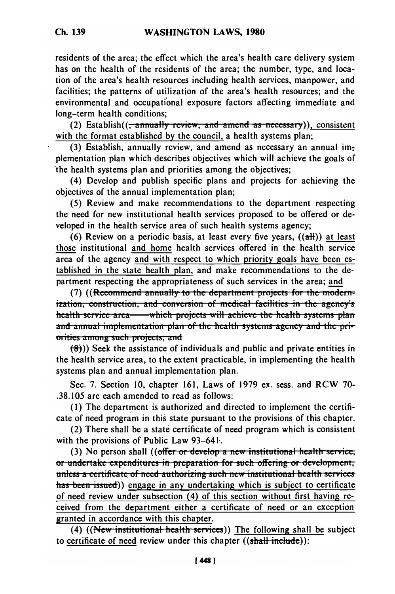Ch. 139

residents of the area; the effect which the area's health care delivery system has on the health of the residents of the area; the number, type, and location of the area's health resources including health services, manpower, and facilities; the patterns of utilization of the area's health resources; and the environmental and occupational exposure factors affecting immediate and long-term health conditions;

(2) Establish( $\left(\frac{1}{2}, \frac{2}{3}, \frac{1}{2}\right)$  review, and amend as necessary)), consistent with the format established by the council, a health systems plan;

(3) Establish, annually review, and amend as necessary an annual implementation plan which describes objectives which will achieve the goals of the health systems plan and priorities among the objectives:

(4) Develop and publish specific plans and projects for achieving the objectives of the annual implementation plan;

(5) Review and make recommendations to the department respecting the need for new institutional health services proposed to be offered or developed in the health service area of such health systems agency;

(6) Review on a periodic basis, at least every five years,  $((aH))$  at least those institutional and home health services offered in the health service area of the agency and with respect to which priority goals have been established in the state health plan, and make recommendations to the department respecting the appropriateness of such services in the area; and

(7) ((Recommend annually to the department projects for the modernization, construction, and conversion of medical facilities in the agency's health service area— which projects will achieve the health systems plan and annual implementation plan of the health systems agency and the priorities among such projects; and

 $(8)$ )) Seek the assistance of individuals and public and private entities in the health service area, to the extent practicable, in implementing the health systems plan and annual implementation plan.

Sec. 7. Section 10, chapter 161, Laws of 1979 ex. sess. and RCW 70-.38.105 are each amended to read as follows:

(1) The department is authorized and directed to implement the certificate of need program in this state pursuant to the provisions of this chapter.

(2) There shall be a state certificate of need program which is consistent with the provisions of Public Law 93-641.

(3) No person shall ((offer or develop a new institutional health service; or undertake expenditures in preparation for such offering or development, unless a certificate of need authorizing such new institutional health services has been issued)) engage in any undertaking which is subject to certificate of need review under subsection (4) of this section without first having received from the department either a certificate of need or an exception granted in accordance with this chapter.

(4) ((New institutional health services)) The following shall be subject to certificate of need review under this chapter  $((\text{shall include}))$ :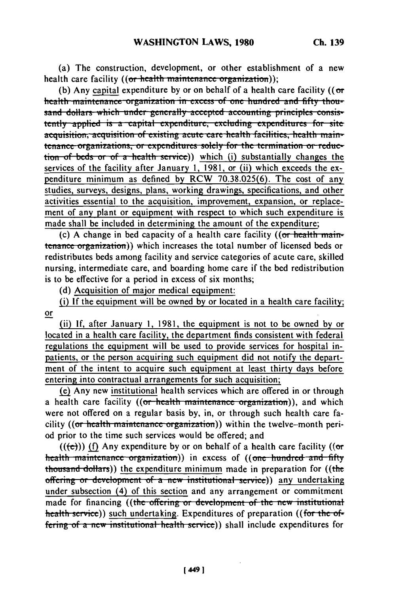(a) The construction, development, or other establishment of a new health care facility ((or health maintenance organization));

(b) Any capital expenditure by or on behalf of a health care facility ( $($  or health maintenance organization in excess of one hundred and fifty thousand dollars which under generally accepted accounting principles consistently applied is a capital expenditure, excluding expenditures for site acquisition, acquisition of existing acute care health facilities, health maintenance organizations, or expenditures solely for the termination or reduction of beds or of a health service)) which (i) substantially changes the services of the facility after January 1, 1981, or (ii) which exceeds the expenditure minimum as defined by RCW 70.38.025(6). The cost of any studies, surveys, designs, plans, working drawings, specifications, and other activities essential to the acquisition, improvement, expansion, or replacement of any plant or equipment with respect to which such expenditure is made shall be included in determining the amount of the expenditure;

(c) A change in bed capacity of a health care facility ((or health maintenance organization)) which increases the total number of licensed beds or redistributes beds among facility and service categories of acute care, skilled nursing, intermediate care, and boarding home care if the bed redistribution is to be effective for a period in excess of six months;

(d) Acquisition of major medical equipment:

(i) If the equipment will be owned by or located in a health care facility;  $or$ 

(ii) If, after January 1, 1981, the equipment is not to be owned by or located in a health care facility, the department finds consistent with federal regulations the equipment will be used to provide services for hospital inpatients, or the person acquiring such equipment did not notify the department of the intent to acquire such equipment at least thirty days before entering into contractual arrangements for such acquisition;

(e) Any new institutional health services which are offered in or through a health care facility ((or health maintenance organization)), and which were not offered on a regular basis by, in, or through such health care facility ((or health maintenance organization)) within the twelve-month period prior to the time such services would be offered; and

 $((e))$  (f) Any expenditure by or on behalf of a health care facility ((or health maintenance organization)) in excess of ((one hundred and fifty thousand dollars)) the expenditure minimum made in preparation for ((the offering or development of a new institutional service)) any undertaking under subsection (4) of this section and any arrangement or commitment made for financing ((the offering or development of the new institutional health service)) such undertaking. Expenditures of preparation ((for the offering of a new institutional health service)) shall include expenditures for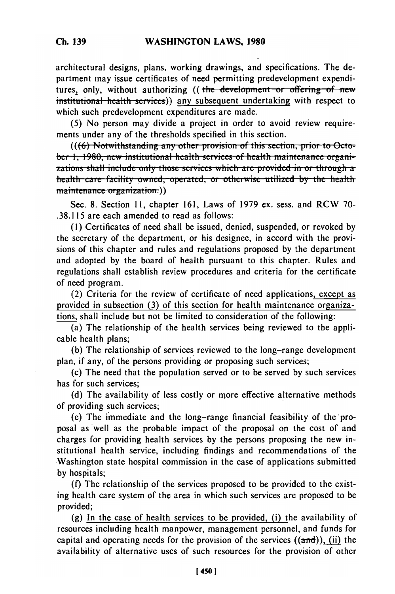architectural designs, plans, working drawings, and specifications. The department may issue certificates of need permitting predevelopment expenditures, only, without authorizing ((the development or offering of new institutional health services)) any subsequent undertaking with respect to which such predevelopment expenditures are made.

(5) No person may divide a project in order to avoid review requirements under any of the thresholds specified in this section.

(((6) Notwithstanding any other provision of this section, prior to October 1, 1980, new institutional health services of health maintenance organizations shall include only those services which are provided in or through a health care facility owned, operated, or otherwise utilized by the health maintenance organization.))

Sec. 8. Section 11, chapter 161, Laws of 1979 ex. sess. and RCW 70-.38.115 are each amended to read as follows:

(1) Certificates of need shall be issued, denied, suspended, or revoked by the secretary of the department, or his designee, in accord with the provisions of this chapter and rules and regulations proposed by the department and adopted by the board of health pursuant to this chapter. Rules and regulations shall establish review procedures and criteria for the certificate of need program.

(2) Criteria for the review of certificate of need applications, except as provided in subsection (3) of this section for health maintenance organizations, shall include but not be limited to consideration of the following:

 $\overline{a}$ ) The relationship of the health services being reviewed to the applicable health plans;

(b) The relationship of services reviewed to the long-range development plan, if any, of the persons providing or proposing such services;

(c) The need that the population served or to be served by such services has for such services:

(d) The availability of less costly or more effective alternative methods of providing such services;

(e) The immediate and the long-range financial feasibility of the proposal as well as the probable impact of the proposal on the cost of and charges for providing health services by the persons proposing the new institutional health service, including findings and recommendations of the Washington state hospital commission in the case of applications submitted by hospitals;

(f) The relationship of the services proposed to be provided to the existing health care system of the area in which such services are proposed to be provided;

(g) In the case of health services to be provided, (i) the availability of resources including health manpower, management personnel, and funds for capital and operating needs for the provision of the services  $((\text{and}))$ , (ii) the availability of alternative uses of such resources for the provision of other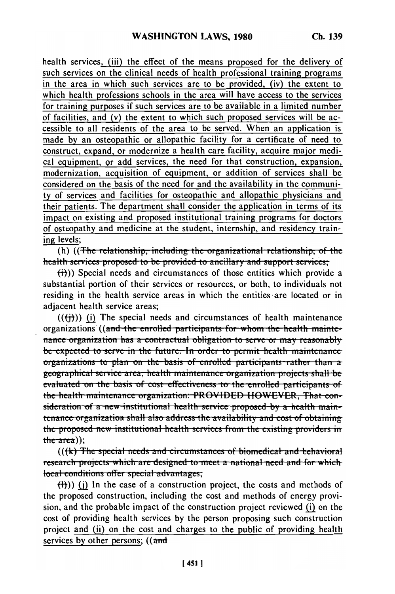health services, (iii) the effect of the means proposed for the delivery of such services on the clinical needs of health professional training programs in the area in which such services are to be provided, (iv) the extent to which health professions schools in the area will have access to the services for training purposes if such services are to be available in a limited number of facilities, and (v) the extent to which such proposed services will be accessible to all residents of the area to be served. When an application is made by an osteopathic or allopathic facility for a certificate of need to construct, expand, or modernize a health care facility, acquire major medical equipment, or add services, the need for that construction, expansion, modernization, acquisition of equipment, or addition of services shall be considered on the basis of the need for and the availability in the community of services and facilities for osteopathic and allopathic physicians and their patients. The department shall consider the application in terms of its impact on existing and proposed institutional training programs for doctors of osteopathy and medicine at the student, internship, and residency training levels;

(h) ((The relationship, including the organizational relationship, of the health services proposed to be provided to ancillary and support services;

 $(\overrightarrow{t})$ ) Special needs and circumstances of those entities which provide a substantial portion of their services or resources, or both, to individuals not residing in the health service areas in which the entities are located or in adjacent health service areas;

 $((\text{ii}))$  (i) The special needs and circumstances of health maintenance organizations ((and the enrolled participants for whom the health maintenance organization has a contractual obligation to serve or may reasonably be expected to serve in the future. In order to permit health maintenance organizations to plan on the basis of enrolled participants rather than a geographical service area, health maintenance organization projects shall be evaluated on the basis of cost-effectiveness to the enrolled participants of the health maintenance organization: PROVIDED HOWEVER, That consideration of a new institutional health service proposed by a health maintenance organization shall also address the availability and cost of obtaining the proposed new institutional health services from the existing providers in  $the area$ );

 $((k)$  The special needs and circumstances of biomedical and behavioral research projects which are designed to meet a national need and for which local conditions offer special advantages;

 $(H)$ ) (i) In the case of a construction project, the costs and methods of the proposed construction, including the cost and methods of energy provision, and the probable impact of the construction project reviewed (i) on the cost of providing health services by the person proposing such construction project and (ii) on the cost and charges to the public of providing health services by other persons;  $((\text{and}$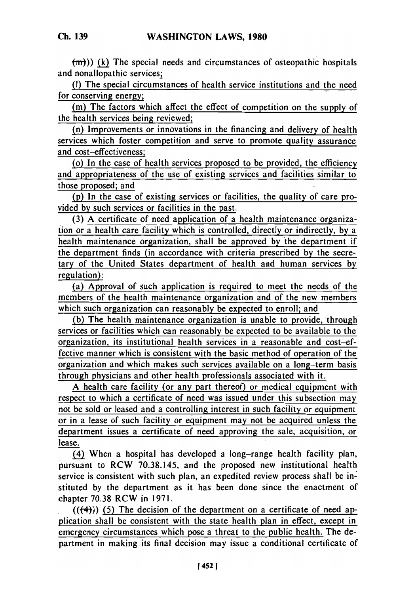(m)) (k) The special needs and circumstances of osteopathic hospitals

**(1)** The special circumstances of health service institutions and the need for conserving energy;

(m) The factors which affect the effect of competition on the supply of the health services being reviewed;

(n) Improvements or innovations in the financing and delivery of health services which foster competition and serve to promote quality assurance and cost-effectiveness;

(o) In the case of health services proposed to be provided, the efficiency and appropriateness of the use of existing services and facilities similar to those proposed; and

(p) In the case of existing services or facilities, the quality of care provided by such services or facilities in the past.

(3) A certificate of need application of a health maintenance organization or a health care facility which is controlled, directly or indirectly, by a health maintenance organization, shall be approved by the department if the department finds (in accordance with criteria prescribed by the secretary of the United States department of health and human services by regulation):

(a) Approval of such application is required to meet the needs of the members of the health maintenance organization and of the new members which such organization can reasonably be expected to enroll; and

(b) The health maintenance organization is unable to provide, through services or facilities which can reasonably be expected to be available to the organization, its institutional health services in a reasonable and cost-effective manner which is consistent with the basic method of operation of the organization and which makes such services available on a long-term basis through physicians and other health professionals associated with it.

A health care facility (or any part thereof) or medical equipment with respect to which a certificate of need was issued under this subsection may not be sold or leased and a controlling interest in such facility or equipment or in a lease of such facility or equipment may not be acquired unless the department issues a certificate of need approving the sale, acquisition, or lease.

(4) When a hospital has developed a long-range health facility plan, pursuant to RCW 70.38.145, and the proposed new institutional health service is consistent with such plan, an expedited review process shall be instituted by the department as it has been done since the enactment of chapter 70.38 RCW in 1971.

 $((+4))$  (5) The decision of the department on a certificate of need application shall be consistent with the state health plan in effect, except in emergency circumstances which pose a threat to the public health. The department in making its final decision may issue a conditional certificate of

and nonallopathic services;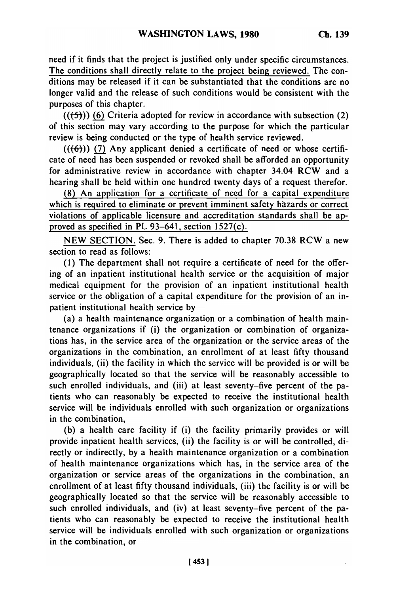need if it finds that the project is justified only under specific circumstances. The conditions shall directly relate to the project being reviewed. The conditions may be released if it can be substantiated that the conditions are no longer valid and the release of such conditions would be consistent with the purposes of this chapter.

 $((+5))$  (6) Criteria adopted for review in accordance with subsection (2) of this section may vary according to the purpose for which the particular review is being conducted or the type of health service reviewed.

 $((\{6\}))$  (7) Any applicant denied a certificate of need or whose certificate of need has been suspended or revoked shall be afforded an opportunity for administrative review in accordance with chapter 34.04 RCW and a hearing shall be held within one hundred twenty days of a request therefor.

(8) An application for a certificate of need for a capital expenditure which is required to eliminate or prevent imminent safety hazards or correct violations of applicable licensure and accreditation standards shall be approved as specified in PL 93-641, section 1527(c).

NEW SECTION. Sec. 9. There is added to chapter 70.38 RCW a new section to read as follows:

**(1)** The department shall not require a certificate of need for the offering of an inpatient institutional health service or the acquisition of major medical equipment for the provision of an inpatient institutional health service or the obligation of a capital expenditure for the provision of an inpatient institutional health service by-

(a) a health maintenance organization or a combination of health maintenance organizations if (i) the organization or combination of organizations has, in the service area of the organization or the service areas of the organizations in the combination, an enrollment of at least fifty thousand individuals, (ii) the facility in which the service will be provided is or will be geographically located so that the service will be reasonably accessible to such enrolled individuals, and (iii) at least seventy-five percent of the patients who can reasonably be expected to receive the institutional health service will be individuals enrolled with such organization or organizations in the combination,

(b) a health care facility if (i) the facility primarily provides or will provide inpatient health services, (ii) the facility is or will be controlled, directly or indirectly, by a health maintenance organization or a combination of health maintenance organizations which has, in the service area of the organization or service areas of the organizations in the combination, an enrollment of at least fifty thousand individuals, (iii) the facility is or will be geographically located so that the service will be reasonably accessible to such enrolled individuals, and (iv) at least seventy-five percent of the patients who can reasonably be expected to receive the institutional health service will be individuals enrolled with such organization or organizations in the combination, or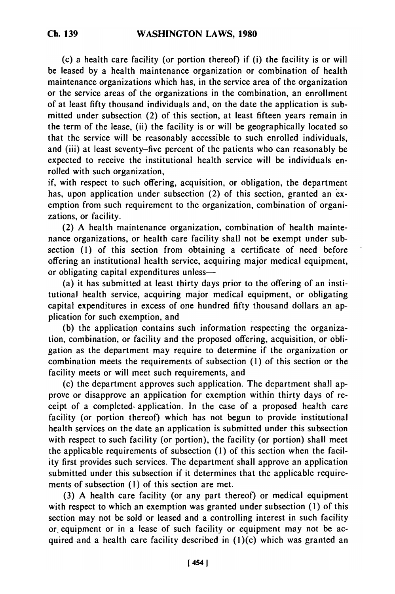(c) a health care facility (or portion thereof) if (i) the facility is or will be leased by a health maintenance organization or combination of health maintenance organizations which has, in the service area of the organization or the service areas of the organizations in the combination, an enrollment of at least fifty thousand individuals and, on the date the application is submitted under subsection (2) of this section, at least fifteen years remain in the term of the lease, (ii) the facility is or will be geographically located so that the service will be reasonably accessible to such enrolled individuals, and (iii) at least seventy-five percent of the patients who can reasonably be expected to receive the institutional health service will be individuals enrolled with such organization,

if, with respect to such offering, acquisition, or obligation, the department has, upon application under subsection (2) of this section, granted an exemption from such requirement to the organization, combination of organizations, or facility.

(2) A health maintenance organization, combination of health maintenance organizations, or health care facility shall not be exempt under subsection **(1)** of this section from obtaining a certificate of need before offering an institutional health service, acquiring major medical equipment, or obligating capital expenditures unless-

(a) it has submitted at least thirty days prior to the offering of an institutional health service, acquiring major medical equipment, or obligating capital expenditures in excess of one hundred fifty thousand dollars an application for such exemption, and

(b) the application contains such information respecting the organization, combination, or facility and the proposed offering, acquisition, or obligation as the department may require to determine if the organization or combination meets the requirements of subsection (1) of this section or the facility meets or will meet such requirements, and

(c) the department approves such application. The department shall approve or disapprove an application for exemption within thirty days of receipt of a completed. application. In the case of a proposed health care facility (or portion thereof) which has not begun to provide institutional health services on the date an application is submitted under this subsection with respect to such facility (or portion), the facility (or portion) shall meet the applicable requirements of subsection (1) of this section when the facility first provides such services. The department shall approve an application submitted under this subsection if it determines that the applicable requirements of subsection **(1)** of this section are met.

(3) A health care facility (or any part thereof) or medical equipment with respect to which an exemption was granted under subsection (1) of this section may not be sold or leased and a controlling interest in such facility or equipment or in a lease of such facility or equipment may not be acquired and a health care facility described in  $(1)(c)$  which was granted an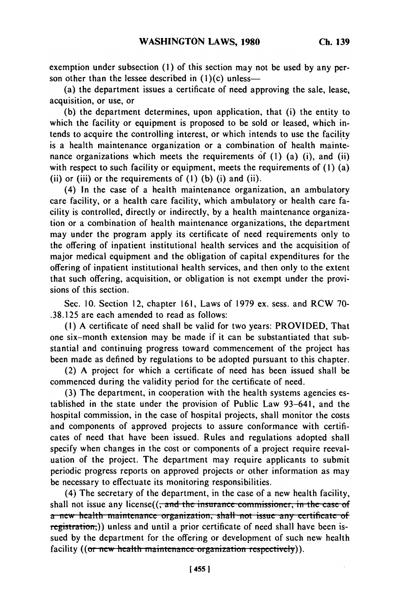exemption under subsection **(1)** of this section may not be used **by** any person other than the lessee described in  $(1)(c)$  unless-

(a) the department issues a certificate of need approving the sale, lease, acquisition, or use, or

(b) the department determines, upon application, that (i) the entity to which the facility or equipment is proposed to be sold or leased, which intends to acquire the controlling interest, or which intends to use the facility is a health maintenance organization or a combination of health maintenance organizations which meets the requirements of (1) (a) (i), and (ii) with respect to such facility or equipment, meets the requirements of (1) (a) (ii) or (iii) or the requirements of **(1)** (b) (i) and (ii).

(4) In the case of a health maintenance organization, an ambulatory care facility, or a health care facility, which ambulatory or health care facility is controlled, directly or indirectly, by a health maintenance organization or a combination of health maintenance organizations, the department may under the program apply its certificate of need requirements only to the offering of inpatient institutional health services and the acquisition of major medical equipment and the obligation of capital expenditures for the offering of inpatient institutional health services, and then only to the extent that such offering, acquisition, or obligation is not exempt under the provisions of this section.

Sec. 10. Section 12, chapter 161, Laws of 1979 ex. sess. and RCW 70- .38.125 are each amended to read as follows:

(I) A certificate of need shall be valid for two years: PROVIDED, That one six-month extension may be made if it can be substantiated that substantial and continuing progress toward commencement of the project has been made as defined by regulations to be adopted pursuant to this chapter.

(2) A project for which a certificate of need has been issued shall be commenced during the validity period for the certificate of need.

(3) The department, in cooperation with the health systems agencies established in the state under the provision of Public Law 93-641, and the hospital commission, in the case of hospital projects, shall monitor the costs and components of approved projects to assure conformance with certificates of need that have been issued. Rules and regulations adopted shall specify when changes in the cost or components of a project require reevaluation of the project. The department may require applicants to submit periodic progress reports on approved projects or other information as may be necessary to effectuate its monitoring responsibilities.

(4) The secretary of the department, in the case of a new health facility, shall not issue any license((<del>, and the insurance commissioner, in the case of</del>  $\alpha$  new health maintenance organization, shall not issue any certificate of registration,)) unless and until a prior certificate of need shall have been issued by the department for the offering or development of such new health facility ((or new health maintenance organization respectively)).